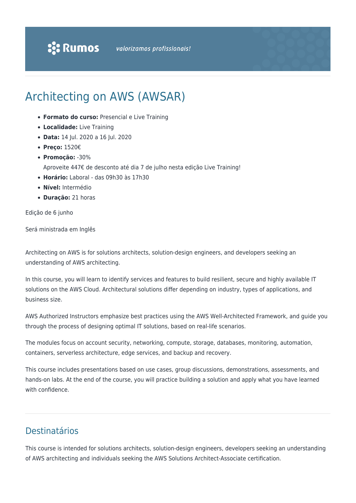# Architecting on AWS (AWSAR)

- **Formato do curso:** Presencial e Live Training
- **Localidade:** Live Training
- **Data:** 14 Jul. 2020 a 16 Jul. 2020
- **Preço:** 1520€
- **Promoção:** -30%
	- Aproveite 447€ de desconto até dia 7 de julho nesta edição Live Training!
- **Horário:** Laboral das 09h30 às 17h30
- **Nível:** Intermédio
- **Duração:** 21 horas

Edição de 6 junho

Será ministrada em Inglês

Architecting on AWS is for solutions architects, solution-design engineers, and developers seeking an understanding of AWS architecting.

In this course, you will learn to identify services and features to build resilient, secure and highly available IT solutions on the AWS Cloud. Architectural solutions differ depending on industry, types of applications, and business size.

AWS Authorized Instructors emphasize best practices using the AWS Well-Architected Framework, and guide you through the process of designing optimal IT solutions, based on real-life scenarios.

The modules focus on account security, networking, compute, storage, databases, monitoring, automation, containers, serverless architecture, edge services, and backup and recovery.

This course includes presentations based on use cases, group discussions, demonstrations, assessments, and hands-on labs. At the end of the course, you will practice building a solution and apply what you have learned with confidence.

## Destinatários

This course is intended for solutions architects, solution-design engineers, developers seeking an understanding of AWS architecting and individuals seeking the AWS Solutions Architect-Associate certification.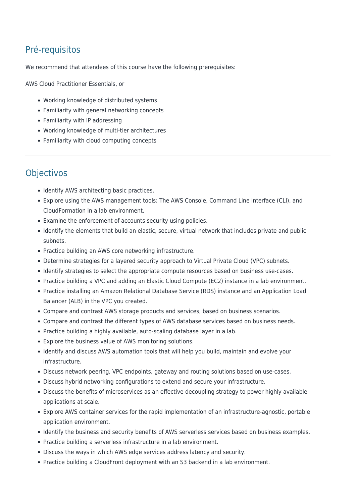# Pré-requisitos

We recommend that attendees of this course have the following prerequisites:

AWS Cloud Practitioner Essentials, or

- Working knowledge of distributed systems
- Familiarity with general networking concepts
- Familiarity with IP addressing
- Working knowledge of multi-tier architectures
- Familiarity with cloud computing concepts

### **Objectivos**

- Identify AWS architecting basic practices.
- Explore using the AWS management tools: The AWS Console, Command Line Interface (CLI), and CloudFormation in a lab environment.
- Examine the enforcement of accounts security using policies.
- Identify the elements that build an elastic, secure, virtual network that includes private and public subnets.
- Practice building an AWS core networking infrastructure.
- Determine strategies for a layered security approach to Virtual Private Cloud (VPC) subnets.
- Identify strategies to select the appropriate compute resources based on business use-cases.
- Practice building a VPC and adding an Elastic Cloud Compute (EC2) instance in a lab environment.
- Practice installing an Amazon Relational Database Service (RDS) instance and an Application Load Balancer (ALB) in the VPC you created.
- Compare and contrast AWS storage products and services, based on business scenarios.
- Compare and contrast the different types of AWS database services based on business needs.
- Practice building a highly available, auto-scaling database layer in a lab.
- Explore the business value of AWS monitoring solutions.
- Identify and discuss AWS automation tools that will help you build, maintain and evolve your infrastructure.
- Discuss network peering, VPC endpoints, gateway and routing solutions based on use-cases.
- Discuss hybrid networking configurations to extend and secure your infrastructure.
- Discuss the benefits of microservices as an effective decoupling strategy to power highly available applications at scale.
- Explore AWS container services for the rapid implementation of an infrastructure-agnostic, portable application environment.
- Identify the business and security benefits of AWS serverless services based on business examples.
- Practice building a serverless infrastructure in a lab environment.
- Discuss the ways in which AWS edge services address latency and security.
- Practice building a CloudFront deployment with an S3 backend in a lab environment.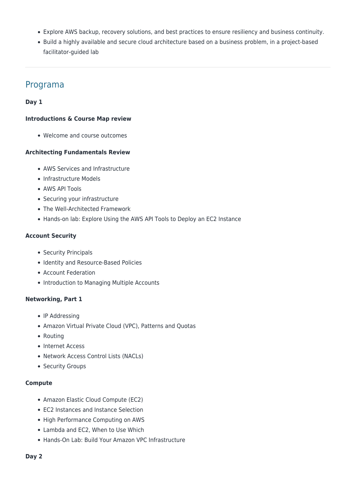- Explore AWS backup, recovery solutions, and best practices to ensure resiliency and business continuity.
- Build a highly available and secure cloud architecture based on a business problem, in a project-based facilitator-guided lab

### Programa

#### **Day 1**

#### **Introductions & Course Map review**

Welcome and course outcomes

#### **Architecting Fundamentals Review**

- AWS Services and Infrastructure
- Infrastructure Models
- AWS API Tools
- Securing your infrastructure
- The Well-Architected Framework
- Hands-on lab: Explore Using the AWS API Tools to Deploy an EC2 Instance

#### **Account Security**

- Security Principals
- Identity and Resource-Based Policies
- Account Federation
- Introduction to Managing Multiple Accounts

#### **Networking, Part 1**

- IP Addressing
- Amazon Virtual Private Cloud (VPC), Patterns and Quotas
- Routing
- Internet Access
- Network Access Control Lists (NACLs)
- Security Groups

#### **Compute**

- Amazon Elastic Cloud Compute (EC2)
- EC2 Instances and Instance Selection
- High Performance Computing on AWS
- Lambda and EC2, When to Use Which
- Hands-On Lab: Build Your Amazon VPC Infrastructure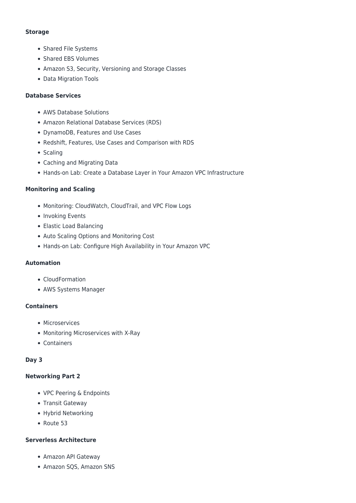#### **Storage**

- Shared File Systems
- Shared EBS Volumes
- Amazon S3, Security, Versioning and Storage Classes
- Data Migration Tools

#### **Database Services**

- AWS Database Solutions
- Amazon Relational Database Services (RDS)
- DynamoDB, Features and Use Cases
- Redshift, Features, Use Cases and Comparison with RDS
- Scaling
- Caching and Migrating Data
- Hands-on Lab: Create a Database Layer in Your Amazon VPC Infrastructure

#### **Monitoring and Scaling**

- Monitoring: CloudWatch, CloudTrail, and VPC Flow Logs
- Invoking Events
- Elastic Load Balancing
- Auto Scaling Options and Monitoring Cost
- Hands-on Lab: Configure High Availability in Your Amazon VPC

#### **Automation**

- CloudFormation
- AWS Systems Manager

#### **Containers**

- Microservices
- Monitoring Microservices with X-Ray
- Containers

#### **Day 3**

#### **Networking Part 2**

- VPC Peering & Endpoints
- Transit Gateway
- Hybrid Networking
- Route 53

#### **Serverless Architecture**

- Amazon API Gateway
- Amazon SQS, Amazon SNS